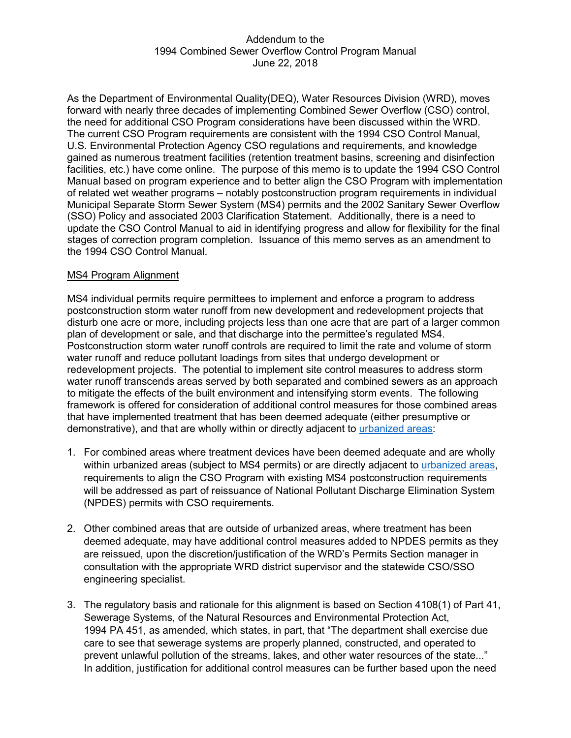### Addendum to the 1994 Combined Sewer Overflow Control Program Manual June 22, 2018

As the Department of Environmental Quality(DEQ), Water Resources Division (WRD), moves forward with nearly three decades of implementing Combined Sewer Overflow (CSO) control, the need for additional CSO Program considerations have been discussed within the WRD. The current CSO Program requirements are consistent with the 1994 CSO Control Manual, U.S. Environmental Protection Agency CSO regulations and requirements, and knowledge gained as numerous treatment facilities (retention treatment basins, screening and disinfection facilities, etc.) have come online. The purpose of this memo is to update the 1994 CSO Control Manual based on program experience and to better align the CSO Program with implementation of related wet weather programs – notably postconstruction program requirements in individual Municipal Separate Storm Sewer System (MS4) permits and the 2002 Sanitary Sewer Overflow (SSO) Policy and associated 2003 Clarification Statement. Additionally, there is a need to update the CSO Control Manual to aid in identifying progress and allow for flexibility for the final stages of correction program completion. Issuance of this memo serves as an amendment to the 1994 CSO Control Manual.

### MS4 Program Alignment

MS4 individual permits require permittees to implement and enforce a program to address postconstruction storm water runoff from new development and redevelopment projects that disturb one acre or more, including projects less than one acre that are part of a larger common plan of development or sale, and that discharge into the permittee's regulated MS4. Postconstruction storm water runoff controls are required to limit the rate and volume of storm water runoff and reduce pollutant loadings from sites that undergo development or redevelopment projects. The potential to implement site control measures to address storm water runoff transcends areas served by both separated and combined sewers as an approach to mitigate the effects of the built environment and intensifying storm events. The following framework is offered for consideration of additional control measures for those combined areas that have implemented treatment that has been deemed adequate (either presumptive or demonstrative), and that are wholly within or directly adjacent to [urbanized areas:](http://www.michigan.gov/documents/deq/wrd-stormwater-urbanizedareas_374344_7.pdf)

- 1. For combined areas where treatment devices have been deemed adequate and are wholly within urbanized areas (subject to MS4 permits) or are directly adjacent to [urbanized areas,](http://www.michigan.gov/documents/deq/wrd-stormwater-urbanizedareas_374344_7.pdf) requirements to align the CSO Program with existing MS4 postconstruction requirements will be addressed as part of reissuance of National Pollutant Discharge Elimination System (NPDES) permits with CSO requirements.
- 2. Other combined areas that are outside of urbanized areas, where treatment has been deemed adequate, may have additional control measures added to NPDES permits as they are reissued, upon the discretion/justification of the WRD's Permits Section manager in consultation with the appropriate WRD district supervisor and the statewide CSO/SSO engineering specialist.
- 3. The regulatory basis and rationale for this alignment is based on Section 4108(1) of Part 41, Sewerage Systems, of the Natural Resources and Environmental Protection Act, 1994 PA 451, as amended, which states, in part, that "The department shall exercise due care to see that sewerage systems are properly planned, constructed, and operated to prevent unlawful pollution of the streams, lakes, and other water resources of the state..." In addition, justification for additional control measures can be further based upon the need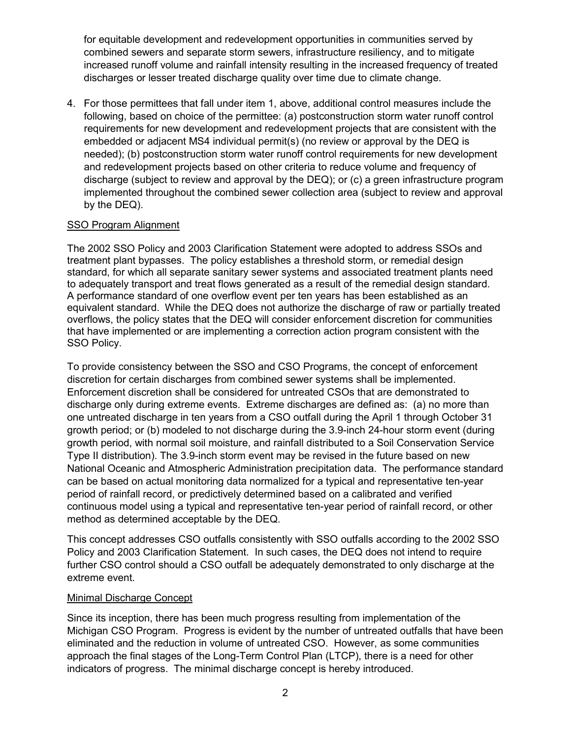for equitable development and redevelopment opportunities in communities served by combined sewers and separate storm sewers, infrastructure resiliency, and to mitigate increased runoff volume and rainfall intensity resulting in the increased frequency of treated discharges or lesser treated discharge quality over time due to climate change.

4. For those permittees that fall under item 1, above, additional control measures include the following, based on choice of the permittee: (a) postconstruction storm water runoff control requirements for new development and redevelopment projects that are consistent with the embedded or adjacent MS4 individual permit(s) (no review or approval by the DEQ is needed); (b) postconstruction storm water runoff control requirements for new development and redevelopment projects based on other criteria to reduce volume and frequency of discharge (subject to review and approval by the DEQ); or (c) a green infrastructure program implemented throughout the combined sewer collection area (subject to review and approval by the DEQ).

# SSO Program Alignment

The 2002 SSO Policy and 2003 Clarification Statement were adopted to address SSOs and treatment plant bypasses. The policy establishes a threshold storm, or remedial design standard, for which all separate sanitary sewer systems and associated treatment plants need to adequately transport and treat flows generated as a result of the remedial design standard. A performance standard of one overflow event per ten years has been established as an equivalent standard. While the DEQ does not authorize the discharge of raw or partially treated overflows, the policy states that the DEQ will consider enforcement discretion for communities that have implemented or are implementing a correction action program consistent with the SSO Policy.

To provide consistency between the SSO and CSO Programs, the concept of enforcement discretion for certain discharges from combined sewer systems shall be implemented. Enforcement discretion shall be considered for untreated CSOs that are demonstrated to discharge only during extreme events. Extreme discharges are defined as: (a) no more than one untreated discharge in ten years from a CSO outfall during the April 1 through October 31 growth period; or (b) modeled to not discharge during the 3.9-inch 24-hour storm event (during growth period, with normal soil moisture, and rainfall distributed to a Soil Conservation Service Type II distribution). The 3.9-inch storm event may be revised in the future based on new National Oceanic and Atmospheric Administration precipitation data. The performance standard can be based on actual monitoring data normalized for a typical and representative ten-year period of rainfall record, or predictively determined based on a calibrated and verified continuous model using a typical and representative ten-year period of rainfall record, or other method as determined acceptable by the DEQ.

This concept addresses CSO outfalls consistently with SSO outfalls according to the 2002 SSO Policy and 2003 Clarification Statement. In such cases, the DEQ does not intend to require further CSO control should a CSO outfall be adequately demonstrated to only discharge at the extreme event.

# Minimal Discharge Concept

Since its inception, there has been much progress resulting from implementation of the Michigan CSO Program. Progress is evident by the number of untreated outfalls that have been eliminated and the reduction in volume of untreated CSO. However, as some communities approach the final stages of the Long-Term Control Plan (LTCP), there is a need for other indicators of progress. The minimal discharge concept is hereby introduced.